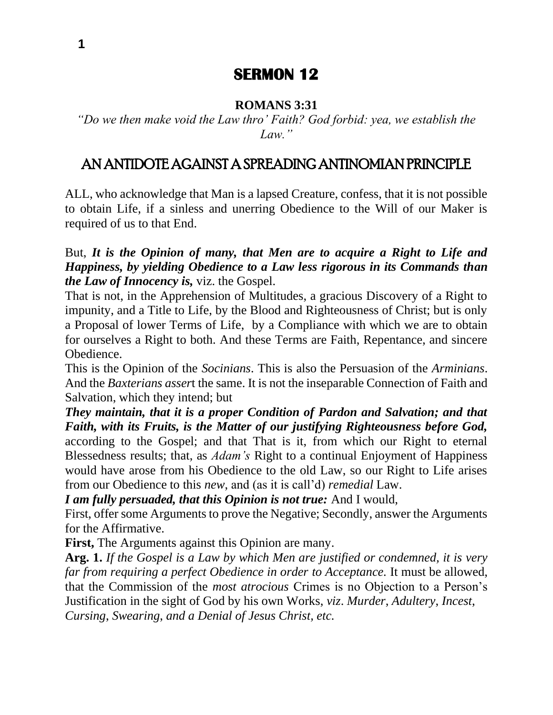# **SERMON 12**

#### **ROMANS 3:31**

*"Do we then make void the Law thro' Faith? God forbid: yea, we establish the Law."*

## AN ANTIDOTE AGAINST A SPREADING ANTINOMIAN PRINCIPLE

ALL, who acknowledge that Man is a lapsed Creature, confess, that it is not possible to obtain Life, if a sinless and unerring Obedience to the Will of our Maker is required of us to that End.

But, *It is the Opinion of many, that Men are to acquire a Right to Life and Happiness, by yielding Obedience to a Law less rigorous in its Commands than the Law of Innocency is,* viz. the Gospel.

That is not, in the Apprehension of Multitudes, a gracious Discovery of a Right to impunity, and a Title to Life, by the Blood and Righteousness of Christ; but is only a Proposal of lower Terms of Life, by a Compliance with which we are to obtain for ourselves a Right to both. And these Terms are Faith, Repentance, and sincere Obedience.

This is the Opinion of the *Socinians*. This is also the Persuasion of the *Arminians*. And the *Baxterians asser*t the same. It is not the inseparable Connection of Faith and Salvation, which they intend; but

*They maintain, that it is a proper Condition of Pardon and Salvation; and that Faith, with its Fruits, is the Matter of our justifying Righteousness before God,*  according to the Gospel; and that That is it, from which our Right to eternal Blessedness results; that, as *Adam's* Right to a continual Enjoyment of Happiness would have arose from his Obedience to the old Law, so our Right to Life arises from our Obedience to this *new*, and (as it is call'd) *remedial* Law.

*I am fully persuaded, that this Opinion is not true:* And I would,

First, offer some Arguments to prove the Negative; Secondly, answer the Arguments for the Affirmative.

**First,** The Arguments against this Opinion are many.

**Arg. 1.** *If the Gospel is a Law by which Men are justified or condemned, it is very far from requiring a perfect Obedience in order to Acceptance.* It must be allowed, that the Commission of the *most atrocious* Crimes is no Objection to a Person's Justification in the sight of God by his own Works, *viz*. *Murder*, *Adultery*, *Incest*, *Cursing*, *Swearing*, *and a Denial of Jesus Christ, etc.*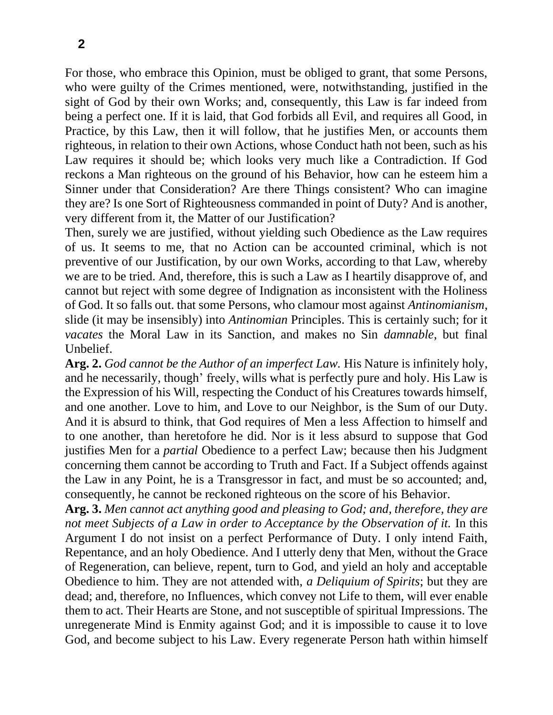For those, who embrace this Opinion, must be obliged to grant, that some Persons, who were guilty of the Crimes mentioned, were, notwithstanding, justified in the sight of God by their own Works; and, consequently, this Law is far indeed from being a perfect one. If it is laid, that God forbids all Evil, and requires all Good, in Practice, by this Law, then it will follow, that he justifies Men, or accounts them righteous, in relation to their own Actions, whose Conduct hath not been, such as his Law requires it should be; which looks very much like a Contradiction. If God reckons a Man righteous on the ground of his Behavior, how can he esteem him a Sinner under that Consideration? Are there Things consistent? Who can imagine they are? Is one Sort of Righteousness commanded in point of Duty? And is another, very different from it, the Matter of our Justification?

Then, surely we are justified, without yielding such Obedience as the Law requires of us. It seems to me, that no Action can be accounted criminal, which is not preventive of our Justification, by our own Works, according to that Law, whereby we are to be tried. And, therefore, this is such a Law as I heartily disapprove of, and cannot but reject with some degree of Indignation as inconsistent with the Holiness of God. It so falls out. that some Persons, who clamour most against *Antinomianism*, slide (it may be insensibly) into *Antinomian* Principles. This is certainly such; for it *vacates* the Moral Law in its Sanction, and makes no Sin *damnable*, but final Unbelief.

**Arg. 2.** *God cannot be the Author of an imperfect Law.* His Nature is infinitely holy, and he necessarily, though' freely, wills what is perfectly pure and holy. His Law is the Expression of his Will, respecting the Conduct of his Creatures towards himself, and one another. Love to him, and Love to our Neighbor, is the Sum of our Duty. And it is absurd to think, that God requires of Men a less Affection to himself and to one another, than heretofore he did. Nor is it less absurd to suppose that God justifies Men for a *partial* Obedience to a perfect Law; because then his Judgment concerning them cannot be according to Truth and Fact. If a Subject offends against the Law in any Point, he is a Transgressor in fact, and must be so accounted; and, consequently, he cannot be reckoned righteous on the score of his Behavior.

**Arg. 3.** *Men cannot act anything good and pleasing to God; and, therefore, they are not meet Subjects of a Law in order to Acceptance by the Observation of it.* In this Argument I do not insist on a perfect Performance of Duty. I only intend Faith, Repentance, and an holy Obedience. And I utterly deny that Men, without the Grace of Regeneration, can believe, repent, turn to God, and yield an holy and acceptable Obedience to him. They are not attended with, *a Deliquium of Spirits*; but they are dead; and, therefore, no Influences, which convey not Life to them, will ever enable them to act. Their Hearts are Stone, and not susceptible of spiritual Impressions. The unregenerate Mind is Enmity against God; and it is impossible to cause it to love God, and become subject to his Law. Every regenerate Person hath within himself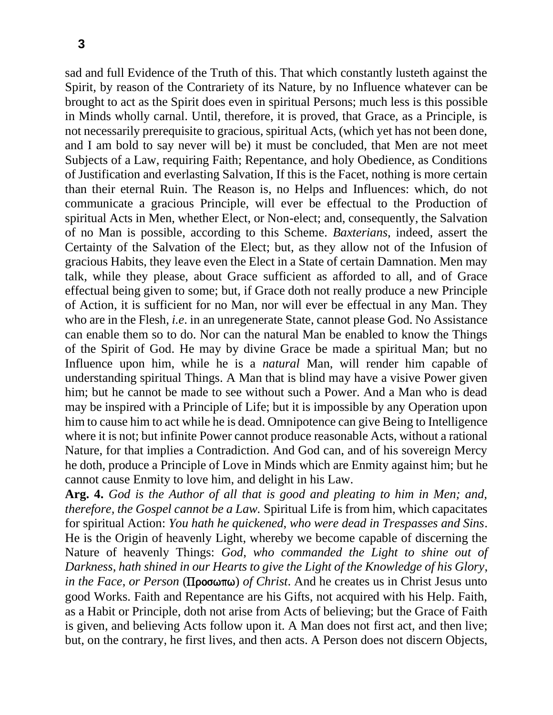sad and full Evidence of the Truth of this. That which constantly lusteth against the Spirit, by reason of the Contrariety of its Nature, by no Influence whatever can be brought to act as the Spirit does even in spiritual Persons; much less is this possible in Minds wholly carnal. Until, therefore, it is proved, that Grace, as a Principle, is not necessarily prerequisite to gracious, spiritual Acts, (which yet has not been done, and I am bold to say never will be) it must be concluded, that Men are not meet Subjects of a Law, requiring Faith; Repentance, and holy Obedience, as Conditions of Justification and everlasting Salvation, If this is the Facet, nothing is more certain than their eternal Ruin. The Reason is, no Helps and Influences: which, do not communicate a gracious Principle, will ever be effectual to the Production of spiritual Acts in Men, whether Elect, or Non-elect; and, consequently, the Salvation of no Man is possible, according to this Scheme. *Baxterians*, indeed, assert the Certainty of the Salvation of the Elect; but, as they allow not of the Infusion of gracious Habits, they leave even the Elect in a State of certain Damnation. Men may talk, while they please, about Grace sufficient as afforded to all, and of Grace effectual being given to some; but, if Grace doth not really produce a new Principle of Action, it is sufficient for no Man, nor will ever be effectual in any Man. They who are in the Flesh, *i.e*. in an unregenerate State, cannot please God. No Assistance can enable them so to do. Nor can the natural Man be enabled to know the Things of the Spirit of God. He may by divine Grace be made a spiritual Man; but no Influence upon him, while he is a *natural* Man, will render him capable of understanding spiritual Things. A Man that is blind may have a visive Power given him; but he cannot be made to see without such a Power. And a Man who is dead may be inspired with a Principle of Life; but it is impossible by any Operation upon him to cause him to act while he is dead. Omnipotence can give Being to Intelligence where it is not; but infinite Power cannot produce reasonable Acts, without a rational Nature, for that implies a Contradiction. And God can, and of his sovereign Mercy he doth, produce a Principle of Love in Minds which are Enmity against him; but he cannot cause Enmity to love him, and delight in his Law.

**Arg. 4.** *God is the Author of all that is good and pleating to him in Men; and, therefore, the Gospel cannot be a Law.* Spiritual Life is from him, which capacitates for spiritual Action: *You hath he quickened*, *who were dead in Trespasses and Sins*. He is the Origin of heavenly Light, whereby we become capable of discerning the Nature of heavenly Things: *God*, *who commanded the Light to shine out of Darkness*, *hath shined in our Hearts to give the Light of the Knowledge of his Glory*, *in the Face, or Person* (Προσωπω) *of Christ*. And he creates us in Christ Jesus unto good Works. Faith and Repentance are his Gifts, not acquired with his Help. Faith, as a Habit or Principle, doth not arise from Acts of believing; but the Grace of Faith is given, and believing Acts follow upon it. A Man does not first act, and then live; but, on the contrary, he first lives, and then acts. A Person does not discern Objects,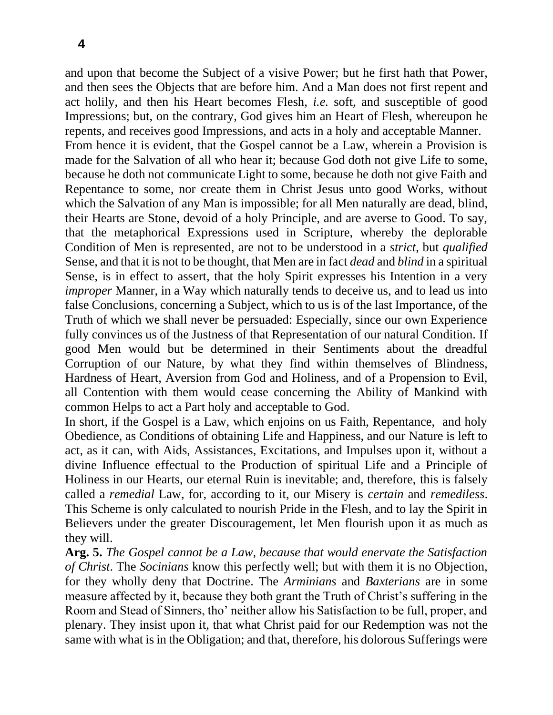and upon that become the Subject of a visive Power; but he first hath that Power, and then sees the Objects that are before him. And a Man does not first repent and act holily, and then his Heart becomes Flesh, *i.e.* soft, and susceptible of good Impressions; but, on the contrary, God gives him an Heart of Flesh, whereupon he repents, and receives good Impressions, and acts in a holy and acceptable Manner.

From hence it is evident, that the Gospel cannot be a Law, wherein a Provision is made for the Salvation of all who hear it; because God doth not give Life to some, because he doth not communicate Light to some, because he doth not give Faith and Repentance to some, nor create them in Christ Jesus unto good Works, without which the Salvation of any Man is impossible; for all Men naturally are dead, blind, their Hearts are Stone, devoid of a holy Principle, and are averse to Good. To say, that the metaphorical Expressions used in Scripture, whereby the deplorable Condition of Men is represented, are not to be understood in a *strict*, but *qualified* Sense, and that it is not to be thought, that Men are in fact *dead* and *blind* in a spiritual Sense, is in effect to assert, that the holy Spirit expresses his Intention in a very *improper* Manner, in a Way which naturally tends to deceive us, and to lead us into false Conclusions, concerning a Subject, which to us is of the last Importance, of the Truth of which we shall never be persuaded: Especially, since our own Experience fully convinces us of the Justness of that Representation of our natural Condition. If good Men would but be determined in their Sentiments about the dreadful Corruption of our Nature, by what they find within themselves of Blindness, Hardness of Heart, Aversion from God and Holiness, and of a Propension to Evil, all Contention with them would cease concerning the Ability of Mankind with common Helps to act a Part holy and acceptable to God.

In short, if the Gospel is a Law, which enjoins on us Faith, Repentance, and holy Obedience, as Conditions of obtaining Life and Happiness, and our Nature is left to act, as it can, with Aids, Assistances, Excitations, and Impulses upon it, without a divine Influence effectual to the Production of spiritual Life and a Principle of Holiness in our Hearts, our eternal Ruin is inevitable; and, therefore, this is falsely called a *remedial* Law, for, according to it, our Misery is *certain* and *remediless*. This Scheme is only calculated to nourish Pride in the Flesh, and to lay the Spirit in Believers under the greater Discouragement, let Men flourish upon it as much as they will.

**Arg. 5.** *The Gospel cannot be a Law, because that would enervate the Satisfaction of Christ*. The *Socinians* know this perfectly well; but with them it is no Objection, for they wholly deny that Doctrine. The *Arminians* and *Baxterians* are in some measure affected by it, because they both grant the Truth of Christ's suffering in the Room and Stead of Sinners, tho' neither allow his Satisfaction to be full, proper, and plenary. They insist upon it, that what Christ paid for our Redemption was not the same with what is in the Obligation; and that, therefore, his dolorous Sufferings were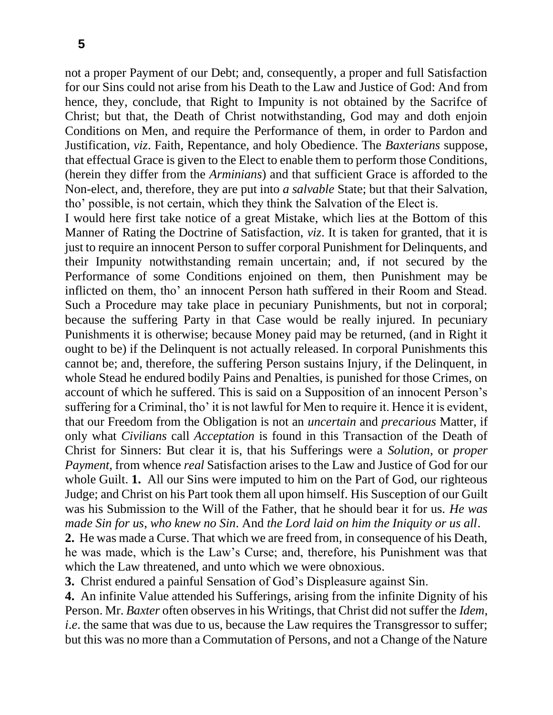not a proper Payment of our Debt; and, consequently, a proper and full Satisfaction for our Sins could not arise from his Death to the Law and Justice of God: And from hence, they, conclude, that Right to Impunity is not obtained by the Sacrifce of Christ; but that, the Death of Christ notwithstanding, God may and doth enjoin Conditions on Men, and require the Performance of them, in order to Pardon and Justification, *viz*. Faith, Repentance, and holy Obedience. The *Baxterians* suppose, that effectual Grace is given to the Elect to enable them to perform those Conditions, (herein they differ from the *Arminians*) and that sufficient Grace is afforded to the Non-elect, and, therefore, they are put into *a salvable* State; but that their Salvation, tho' possible, is not certain, which they think the Salvation of the Elect is.

I would here first take notice of a great Mistake, which lies at the Bottom of this Manner of Rating the Doctrine of Satisfaction, *viz*. It is taken for granted, that it is just to require an innocent Person to suffer corporal Punishment for Delinquents, and their Impunity notwithstanding remain uncertain; and, if not secured by the Performance of some Conditions enjoined on them, then Punishment may be inflicted on them, tho' an innocent Person hath suffered in their Room and Stead. Such a Procedure may take place in pecuniary Punishments, but not in corporal; because the suffering Party in that Case would be really injured. In pecuniary Punishments it is otherwise; because Money paid may be returned, (and in Right it ought to be) if the Delinquent is not actually released. In corporal Punishments this cannot be; and, therefore, the suffering Person sustains Injury, if the Delinquent, in whole Stead he endured bodily Pains and Penalties, is punished for those Crimes, on account of which he suffered. This is said on a Supposition of an innocent Person's suffering for a Criminal, tho' it is not lawful for Men to require it. Hence it is evident, that our Freedom from the Obligation is not an *uncertain* and *precarious* Matter, if only what *Civilians* call *Acceptation* is found in this Transaction of the Death of Christ for Sinners: But clear it is, that his Sufferings were a *Solution*, or *proper Payment*, from whence *real* Satisfaction arises to the Law and Justice of God for our whole Guilt. **1.** All our Sins were imputed to him on the Part of God, our righteous Judge; and Christ on his Part took them all upon himself. His Susception of our Guilt was his Submission to the Will of the Father, that he should bear it for us. *He was made Sin for us*, *who knew no Sin*. And *the Lord laid on him the Iniquity or us all*.

**2.** He was made a Curse. That which we are freed from, in consequence of his Death, he was made, which is the Law's Curse; and, therefore, his Punishment was that which the Law threatened, and unto which we were obnoxious.

**3.** Christ endured a painful Sensation of God's Displeasure against Sin.

**4.** An infinite Value attended his Sufferings, arising from the infinite Dignity of his Person. Mr. *Baxter* often observes in his Writings, that Christ did not suffer the *Idem*, *i.e.* the same that was due to us, because the Law requires the Transgressor to suffer; but this was no more than a Commutation of Persons, and not a Change of the Nature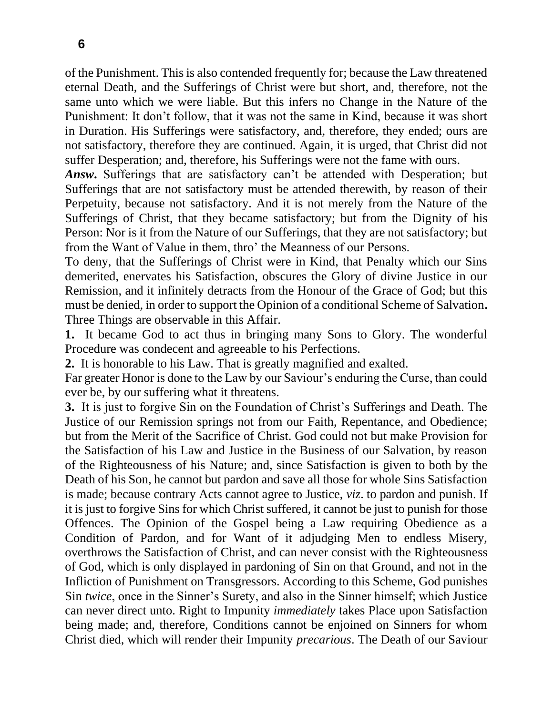of the Punishment. This is also contended frequently for; because the Law threatened eternal Death, and the Sufferings of Christ were but short, and, therefore, not the same unto which we were liable. But this infers no Change in the Nature of the Punishment: It don't follow, that it was not the same in Kind, because it was short in Duration. His Sufferings were satisfactory, and, therefore, they ended; ours are not satisfactory, therefore they are continued. Again, it is urged, that Christ did not suffer Desperation; and, therefore, his Sufferings were not the fame with ours.

*Answ***.** Sufferings that are satisfactory can't be attended with Desperation; but Sufferings that are not satisfactory must be attended therewith, by reason of their Perpetuity, because not satisfactory. And it is not merely from the Nature of the Sufferings of Christ, that they became satisfactory; but from the Dignity of his Person: Nor is it from the Nature of our Sufferings, that they are not satisfactory; but from the Want of Value in them, thro' the Meanness of our Persons.

To deny, that the Sufferings of Christ were in Kind, that Penalty which our Sins demerited, enervates his Satisfaction, obscures the Glory of divine Justice in our Remission, and it infinitely detracts from the Honour of the Grace of God; but this must be denied, in order to support the Opinion of a conditional Scheme of Salvation**.** Three Things are observable in this Affair.

**1.** It became God to act thus in bringing many Sons to Glory. The wonderful Procedure was condecent and agreeable to his Perfections.

**2.** It is honorable to his Law. That is greatly magnified and exalted.

Far greater Honor is done to the Law by our Saviour's enduring the Curse, than could ever be, by our suffering what it threatens.

**3.** It is just to forgive Sin on the Foundation of Christ's Sufferings and Death. The Justice of our Remission springs not from our Faith, Repentance, and Obedience; but from the Merit of the Sacrifice of Christ. God could not but make Provision for the Satisfaction of his Law and Justice in the Business of our Salvation, by reason of the Righteousness of his Nature; and, since Satisfaction is given to both by the Death of his Son, he cannot but pardon and save all those for whole Sins Satisfaction is made; because contrary Acts cannot agree to Justice, *viz*. to pardon and punish. If it is just to forgive Sins for which Christ suffered, it cannot be just to punish for those Offences. The Opinion of the Gospel being a Law requiring Obedience as a Condition of Pardon, and for Want of it adjudging Men to endless Misery, overthrows the Satisfaction of Christ, and can never consist with the Righteousness of God, which is only displayed in pardoning of Sin on that Ground, and not in the Infliction of Punishment on Transgressors. According to this Scheme, God punishes Sin *twice*, once in the Sinner's Surety, and also in the Sinner himself; which Justice can never direct unto. Right to Impunity *immediately* takes Place upon Satisfaction being made; and, therefore, Conditions cannot be enjoined on Sinners for whom Christ died, which will render their Impunity *precarious*. The Death of our Saviour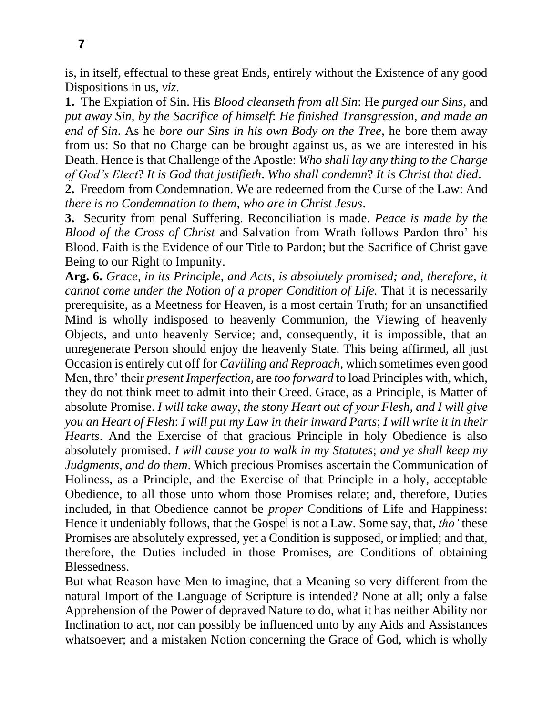is, in itself, effectual to these great Ends, entirely without the Existence of any good Dispositions in us, *viz*.

**1.** The Expiation of Sin. His *Blood cleanseth from all Sin*: He *purged our Sins*, and *put away Sin, by the Sacrifice of himself*: *He finished Transgression*, *and made an end of Sin*. As he *bore our Sins in his own Body on the Tree*, he bore them away from us: So that no Charge can be brought against us, as we are interested in his Death. Hence is that Challenge of the Apostle: *Who shall lay any thing to the Charge of God's Elect*? *It is God that justifieth*. *Who shall condemn*? *It is Christ that died*.

**2.** Freedom from Condemnation. We are redeemed from the Curse of the Law: And *there is no Condemnation to them*, *who are in Christ Jesus*.

**3.** Security from penal Suffering. Reconciliation is made. *Peace is made by the Blood of the Cross of Christ* and Salvation from Wrath follows Pardon thro' his Blood. Faith is the Evidence of our Title to Pardon; but the Sacrifice of Christ gave Being to our Right to Impunity.

**Arg. 6.** *Grace, in its Principle, and Acts, is absolutely promised; and, therefore, it cannot come under the Notion of a proper Condition of Life.* That it is necessarily prerequisite, as a Meetness for Heaven, is a most certain Truth; for an unsanctified Mind is wholly indisposed to heavenly Communion, the Viewing of heavenly Objects, and unto heavenly Service; and, consequently, it is impossible, that an unregenerate Person should enjoy the heavenly State. This being affirmed, all just Occasion is entirely cut off for *Cavilling and Reproach*, which sometimes even good Men, thro' their *present Imperfection*, are *too forward* to load Principles with, which, they do not think meet to admit into their Creed. Grace, as a Principle, is Matter of absolute Promise. *I will take away*, *the stony Heart out of your Flesh*, *and I will give you an Heart of Flesh*: *I will put my Law in their inward Parts*; *I will write it in their Hearts*. And the Exercise of that gracious Principle in holy Obedience is also absolutely promised. *I will cause you to walk in my Statutes*; *and ye shall keep my Judgments*, *and do them*. Which precious Promises ascertain the Communication of Holiness, as a Principle, and the Exercise of that Principle in a holy, acceptable Obedience, to all those unto whom those Promises relate; and, therefore, Duties included, in that Obedience cannot be *proper* Conditions of Life and Happiness: Hence it undeniably follows, that the Gospel is not a Law. Some say, that, *tho'* these Promises are absolutely expressed, yet a Condition is supposed, or implied; and that, therefore, the Duties included in those Promises, are Conditions of obtaining Blessedness.

But what Reason have Men to imagine, that a Meaning so very different from the natural Import of the Language of Scripture is intended? None at all; only a false Apprehension of the Power of depraved Nature to do, what it has neither Ability nor Inclination to act, nor can possibly be influenced unto by any Aids and Assistances whatsoever; and a mistaken Notion concerning the Grace of God, which is wholly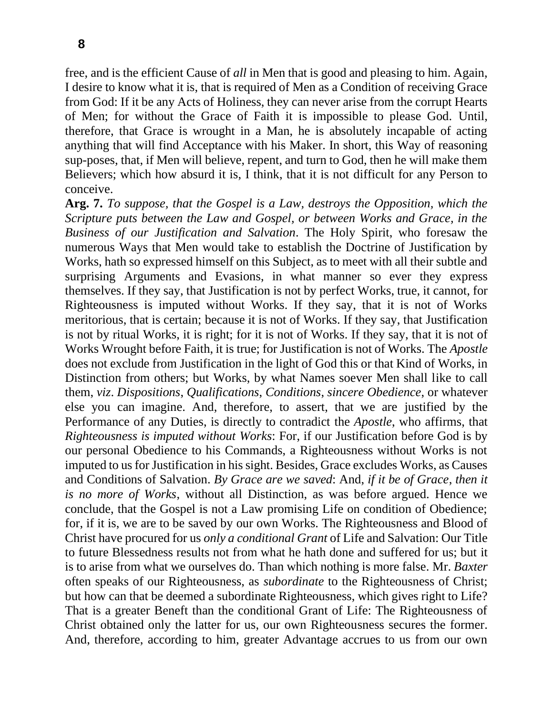free, and is the efficient Cause of *all* in Men that is good and pleasing to him. Again, I desire to know what it is, that is required of Men as a Condition of receiving Grace from God: If it be any Acts of Holiness, they can never arise from the corrupt Hearts of Men; for without the Grace of Faith it is impossible to please God. Until, therefore, that Grace is wrought in a Man, he is absolutely incapable of acting anything that will find Acceptance with his Maker. In short, this Way of reasoning sup-poses, that, if Men will believe, repent, and turn to God, then he will make them Believers; which how absurd it is, I think, that it is not difficult for any Person to conceive.

**Arg. 7.** *To suppose, that the Gospel is a Law, destroys the Opposition, which the Scripture puts between the Law and Gospel, or between Works and Grace, in the Business of our Justification and Salvation*. The Holy Spirit, who foresaw the numerous Ways that Men would take to establish the Doctrine of Justification by Works, hath so expressed himself on this Subject, as to meet with all their subtle and surprising Arguments and Evasions, in what manner so ever they express themselves. If they say, that Justification is not by perfect Works, true, it cannot, for Righteousness is imputed without Works. If they say, that it is not of Works meritorious, that is certain; because it is not of Works. If they say, that Justification is not by ritual Works, it is right; for it is not of Works. If they say, that it is not of Works Wrought before Faith, it is true; for Justification is not of Works. The *Apostle*  does not exclude from Justification in the light of God this or that Kind of Works, in Distinction from others; but Works, by what Names soever Men shall like to call them, *viz*. *Dispositions*, *Qualifications*, *Conditions*, *sincere Obedience*, or whatever else you can imagine. And, therefore, to assert, that we are justified by the Performance of any Duties, is directly to contradict the *Apostle*, who affirms, that *Righteousness is imputed without Works*: For, if our Justification before God is by our personal Obedience to his Commands, a Righteousness without Works is not imputed to us for Justification in his sight. Besides, Grace excludes Works, as Causes and Conditions of Salvation. *By Grace are we saved*: And, *if it be of Grace*, *then it is no more of Works*, without all Distinction, as was before argued. Hence we conclude, that the Gospel is not a Law promising Life on condition of Obedience; for, if it is, we are to be saved by our own Works. The Righteousness and Blood of Christ have procured for us *only a conditional Grant* of Life and Salvation: Our Title to future Blessedness results not from what he hath done and suffered for us; but it is to arise from what we ourselves do. Than which nothing is more false. Mr. *Baxter*  often speaks of our Righteousness, as *subordinate* to the Righteousness of Christ; but how can that be deemed a subordinate Righteousness, which gives right to Life? That is a greater Beneft than the conditional Grant of Life: The Righteousness of Christ obtained only the latter for us, our own Righteousness secures the former. And, therefore, according to him, greater Advantage accrues to us from our own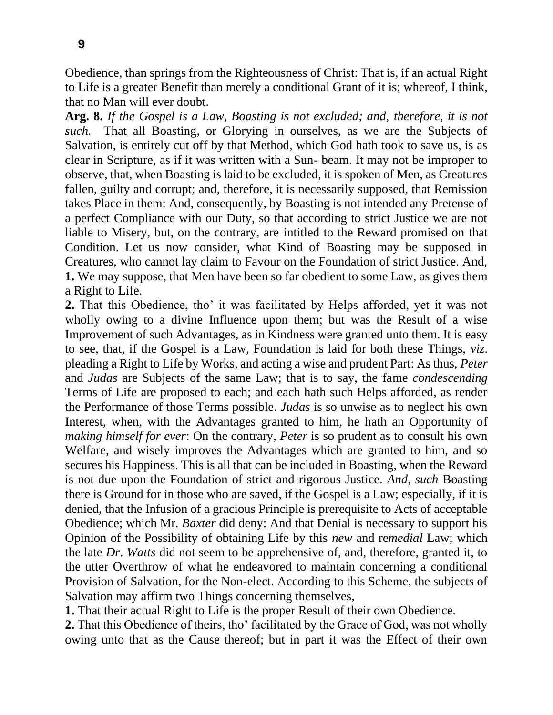Obedience, than springs from the Righteousness of Christ: That is, if an actual Right to Life is a greater Benefit than merely a conditional Grant of it is; whereof, I think, that no Man will ever doubt.

**Arg. 8.** *If the Gospel is a Law, Boasting is not excluded; and, therefore, it is not such.* That all Boasting, or Glorying in ourselves, as we are the Subjects of Salvation, is entirely cut off by that Method, which God hath took to save us, is as clear in Scripture, as if it was written with a Sun- beam. It may not be improper to observe, that, when Boasting is laid to be excluded, it is spoken of Men, as Creatures fallen, guilty and corrupt; and, therefore, it is necessarily supposed, that Remission takes Place in them: And, consequently, by Boasting is not intended any Pretense of a perfect Compliance with our Duty, so that according to strict Justice we are not liable to Misery, but, on the contrary, are intitled to the Reward promised on that Condition. Let us now consider, what Kind of Boasting may be supposed in Creatures, who cannot lay claim to Favour on the Foundation of strict Justice. And, **1.** We may suppose, that Men have been so far obedient to some Law, as gives them a Right to Life.

**2.** That this Obedience, tho' it was facilitated by Helps afforded, yet it was not wholly owing to a divine Influence upon them; but was the Result of a wise Improvement of such Advantages, as in Kindness were granted unto them. It is easy to see, that, if the Gospel is a Law, Foundation is laid for both these Things, *viz*. pleading a Right to Life by Works, and acting a wise and prudent Part: As thus, *Peter*  and *Judas* are Subjects of the same Law; that is to say, the fame *condescending*  Terms of Life are proposed to each; and each hath such Helps afforded, as render the Performance of those Terms possible. *Judas* is so unwise as to neglect his own Interest, when, with the Advantages granted to him, he hath an Opportunity of *making himself for ever*: On the contrary, *Peter* is so prudent as to consult his own Welfare, and wisely improves the Advantages which are granted to him, and so secures his Happiness. This is all that can be included in Boasting, when the Reward is not due upon the Foundation of strict and rigorous Justice. *And*, *such* Boasting there is Ground for in those who are saved, if the Gospel is a Law; especially, if it is denied, that the Infusion of a gracious Principle is prerequisite to Acts of acceptable Obedience; which Mr. *Baxter* did deny: And that Denial is necessary to support his Opinion of the Possibility of obtaining Life by this *new* and re*medial* Law; which the late *Dr*. *Watts* did not seem to be apprehensive of, and, therefore, granted it, to the utter Overthrow of what he endeavored to maintain concerning a conditional Provision of Salvation, for the Non-elect. According to this Scheme, the subjects of Salvation may affirm two Things concerning themselves,

**1.** That their actual Right to Life is the proper Result of their own Obedience.

**2.** That this Obedience of theirs, tho' facilitated by the Grace of God, was not wholly owing unto that as the Cause thereof; but in part it was the Effect of their own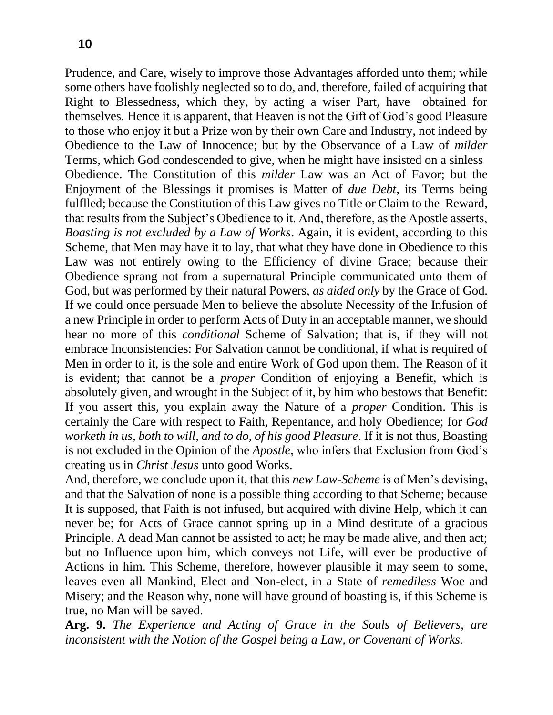Prudence, and Care, wisely to improve those Advantages afforded unto them; while some others have foolishly neglected so to do, and, therefore, failed of acquiring that Right to Blessedness, which they, by acting a wiser Part, have obtained for themselves. Hence it is apparent, that Heaven is not the Gift of God's good Pleasure to those who enjoy it but a Prize won by their own Care and Industry, not indeed by Obedience to the Law of Innocence; but by the Observance of a Law of *milder*  Terms, which God condescended to give, when he might have insisted on a sinless Obedience. The Constitution of this *milder* Law was an Act of Favor; but the Enjoyment of the Blessings it promises is Matter of *due Debt*, its Terms being fulflled; because the Constitution of this Law gives no Title or Claim to the Reward, that results from the Subject's Obedience to it. And, therefore, as the Apostle asserts, *Boasting is not excluded by a Law of Works*. Again, it is evident, according to this Scheme, that Men may have it to lay, that what they have done in Obedience to this Law was not entirely owing to the Efficiency of divine Grace; because their Obedience sprang not from a supernatural Principle communicated unto them of God, but was performed by their natural Powers, *as aided only* by the Grace of God. If we could once persuade Men to believe the absolute Necessity of the Infusion of a new Principle in order to perform Acts of Duty in an acceptable manner, we should hear no more of this *conditional* Scheme of Salvation; that is, if they will not embrace Inconsistencies: For Salvation cannot be conditional, if what is required of Men in order to it, is the sole and entire Work of God upon them. The Reason of it is evident; that cannot be a *proper* Condition of enjoying a Benefit, which is absolutely given, and wrought in the Subject of it, by him who bestows that Benefit: If you assert this, you explain away the Nature of a *proper* Condition. This is certainly the Care with respect to Faith, Repentance, and holy Obedience; for *God worketh in us*, *both to will*, *and to do*, *of his good Pleasure*. If it is not thus, Boasting is not excluded in the Opinion of the *Apostle*, who infers that Exclusion from God's creating us in *Christ Jesus* unto good Works.

And, therefore, we conclude upon it, that this *new Law-Scheme* is of Men's devising, and that the Salvation of none is a possible thing according to that Scheme; because It is supposed, that Faith is not infused, but acquired with divine Help, which it can never be; for Acts of Grace cannot spring up in a Mind destitute of a gracious Principle. A dead Man cannot be assisted to act; he may be made alive, and then act; but no Influence upon him, which conveys not Life, will ever be productive of Actions in him. This Scheme, therefore, however plausible it may seem to some, leaves even all Mankind, Elect and Non-elect, in a State of *remediless* Woe and Misery; and the Reason why, none will have ground of boasting is, if this Scheme is true, no Man will be saved.

**Arg. 9.** *The Experience and Acting of Grace in the Souls of Believers, are inconsistent with the Notion of the Gospel being a Law, or Covenant of Works.*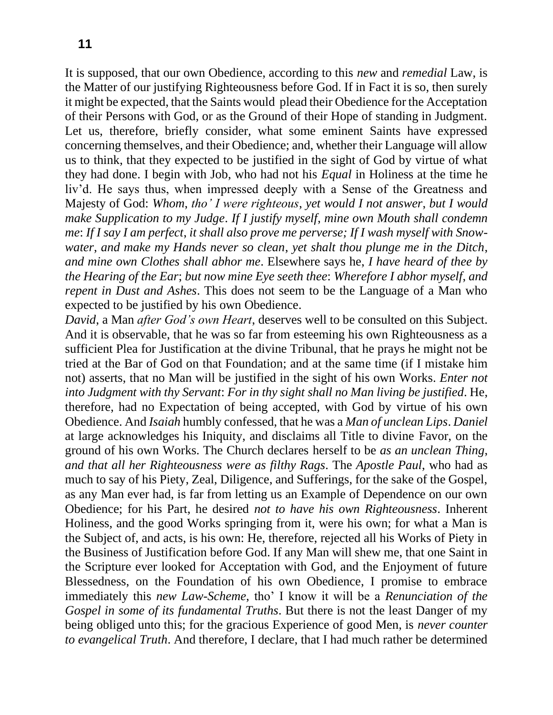It is supposed, that our own Obedience, according to this *new* and *remedial* Law, is the Matter of our justifying Righteousness before God. If in Fact it is so, then surely it might be expected, that the Saints would plead their Obedience for the Acceptation of their Persons with God, or as the Ground of their Hope of standing in Judgment. Let us, therefore, briefly consider, what some eminent Saints have expressed concerning themselves, and their Obedience; and, whether their Language will allow us to think, that they expected to be justified in the sight of God by virtue of what they had done. I begin with Job, who had not his *Equal* in Holiness at the time he liv'd. He says thus, when impressed deeply with a Sense of the Greatness and Majesty of God: *Whom*, *tho' I were righteous*, *yet would I not answer*, *but I would make Supplication to my Judge*. *If I justify myself*, *mine own Mouth shall condemn me*: *If I say I am perfect*, *it shall also prove me perverse; If I wash myself with Snowwater*, *and make my Hands never so clean*, *yet shalt thou plunge me in the Ditch*, *and mine own Clothes shall abhor me*. Elsewhere says he, *I have heard of thee by the Hearing of the Ear*; *but now mine Eye seeth thee*: *Wherefore I abhor myself*, *and repent in Dust and Ashes*. This does not seem to be the Language of a Man who expected to be justified by his own Obedience.

*David*, a Man *after God's own Heart*, deserves well to be consulted on this Subject. And it is observable, that he was so far from esteeming his own Righteousness as a sufficient Plea for Justification at the divine Tribunal, that he prays he might not be tried at the Bar of God on that Foundation; and at the same time (if I mistake him not) asserts, that no Man will be justified in the sight of his own Works. *Enter not into Judgment with thy Servant*: *For in thy sight shall no Man living be justified*. He, therefore, had no Expectation of being accepted, with God by virtue of his own Obedience. And *Isaiah* humbly confessed, that he was a *Man of unclean Lips*. *Daniel*  at large acknowledges his Iniquity, and disclaims all Title to divine Favor, on the ground of his own Works. The Church declares herself to be *as an unclean Thing*, *and that all her Righteousness were as filthy Rags*. The *Apostle Paul*, who had as much to say of his Piety, Zeal, Diligence, and Sufferings, for the sake of the Gospel, as any Man ever had, is far from letting us an Example of Dependence on our own Obedience; for his Part, he desired *not to have his own Righteousness*. Inherent Holiness, and the good Works springing from it, were his own; for what a Man is the Subject of, and acts, is his own: He, therefore, rejected all his Works of Piety in the Business of Justification before God. If any Man will shew me, that one Saint in the Scripture ever looked for Acceptation with God, and the Enjoyment of future Blessedness, on the Foundation of his own Obedience, I promise to embrace immediately this *new Law-Scheme*, tho' I know it will be a *Renunciation of the Gospel in some of its fundamental Truths*. But there is not the least Danger of my being obliged unto this; for the gracious Experience of good Men, is *never counter to evangelical Truth*. And therefore, I declare, that I had much rather be determined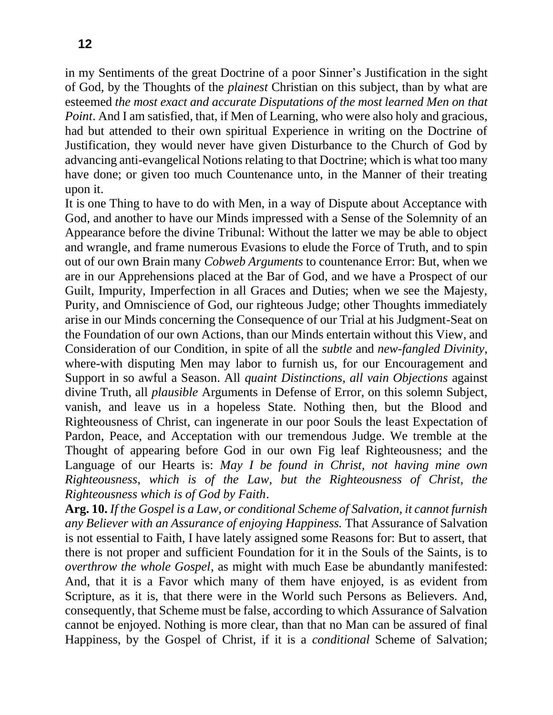in my Sentiments of the great Doctrine of a poor Sinner's Justification in the sight of God, by the Thoughts of the *plainest* Christian on this subject, than by what are esteemed *the most exact and accurate Disputations of the most learned Men on that Point*. And I am satisfied, that, if Men of Learning, who were also holy and gracious, had but attended to their own spiritual Experience in writing on the Doctrine of Justification, they would never have given Disturbance to the Church of God by advancing anti-evangelical Notions relating to that Doctrine; which is what too many have done; or given too much Countenance unto, in the Manner of their treating upon it.

It is one Thing to have to do with Men, in a way of Dispute about Acceptance with God, and another to have our Minds impressed with a Sense of the Solemnity of an Appearance before the divine Tribunal: Without the latter we may be able to object and wrangle, and frame numerous Evasions to elude the Force of Truth, and to spin out of our own Brain many *Cobweb Arguments* to countenance Error: But, when we are in our Apprehensions placed at the Bar of God, and we have a Prospect of our Guilt, Impurity, Imperfection in all Graces and Duties; when we see the Majesty, Purity, and Omniscience of God, our righteous Judge; other Thoughts immediately arise in our Minds concerning the Consequence of our Trial at his Judgment-Seat on the Foundation of our own Actions, than our Minds entertain without this View, and Consideration of our Condition, in spite of all the *subtle* and *new-fangled Divinity*, where-with disputing Men may labor to furnish us, for our Encouragement and Support in so awful a Season. All *quaint Distinctions*, *all vain Objections* against divine Truth, all *plausible* Arguments in Defense of Error, on this solemn Subject, vanish, and leave us in a hopeless State. Nothing then, but the Blood and Righteousness of Christ, can ingenerate in our poor Souls the least Expectation of Pardon, Peace, and Acceptation with our tremendous Judge. We tremble at the Thought of appearing before God in our own Fig leaf Righteousness; and the Language of our Hearts is: *May I be found in Christ, not having mine own Righteousness*, *which is of the Law*, *but the Righteousness of Christ, the Righteousness which is of God by Faith*.

**Arg. 10.** *If the Gospel is a Law, or conditional Scheme of Salvation, it cannot furnish any Believer with an Assurance of enjoying Happiness.* That Assurance of Salvation is not essential to Faith, I have lately assigned some Reasons for: But to assert, that there is not proper and sufficient Foundation for it in the Souls of the Saints, is to *overthrow the whole Gospel*, as might with much Ease be abundantly manifested: And, that it is a Favor which many of them have enjoyed, is as evident from Scripture, as it is, that there were in the World such Persons as Believers. And, consequently, that Scheme must be false, according to which Assurance of Salvation cannot be enjoyed. Nothing is more clear, than that no Man can be assured of final Happiness, by the Gospel of Christ, if it is a *conditional* Scheme of Salvation;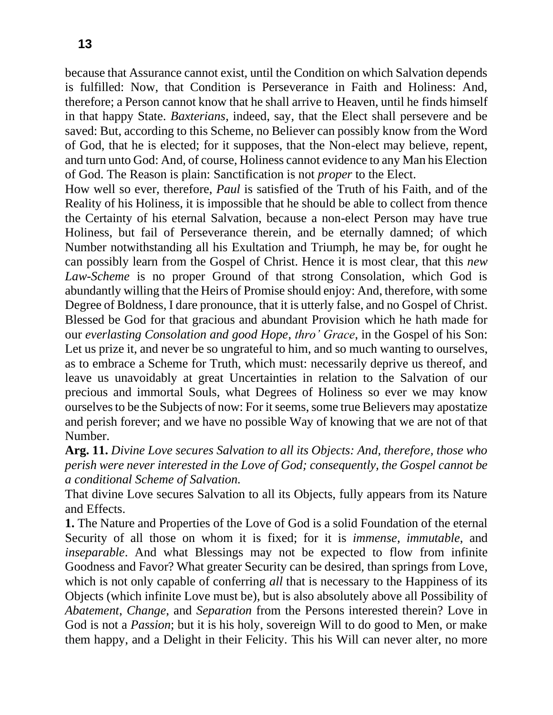**13**

because that Assurance cannot exist, until the Condition on which Salvation depends is fulfilled: Now, that Condition is Perseverance in Faith and Holiness: And, therefore; a Person cannot know that he shall arrive to Heaven, until he finds himself in that happy State. *Baxterians*, indeed, say, that the Elect shall persevere and be saved: But, according to this Scheme, no Believer can possibly know from the Word of God, that he is elected; for it supposes, that the Non-elect may believe, repent, and turn unto God: And, of course, Holiness cannot evidence to any Man his Election of God. The Reason is plain: Sanctification is not *proper* to the Elect.

How well so ever, therefore, *Paul* is satisfied of the Truth of his Faith, and of the Reality of his Holiness, it is impossible that he should be able to collect from thence the Certainty of his eternal Salvation, because a non-elect Person may have true Holiness, but fail of Perseverance therein, and be eternally damned; of which Number notwithstanding all his Exultation and Triumph, he may be, for ought he can possibly learn from the Gospel of Christ. Hence it is most clear, that this *new Law-Scheme* is no proper Ground of that strong Consolation, which God is abundantly willing that the Heirs of Promise should enjoy: And, therefore, with some Degree of Boldness, I dare pronounce, that it is utterly false, and no Gospel of Christ. Blessed be God for that gracious and abundant Provision which he hath made for our *everlasting Consolation and good Hope*, *thro' Grace*, in the Gospel of his Son: Let us prize it, and never be so ungrateful to him, and so much wanting to ourselves, as to embrace a Scheme for Truth, which must: necessarily deprive us thereof, and leave us unavoidably at great Uncertainties in relation to the Salvation of our precious and immortal Souls, what Degrees of Holiness so ever we may know ourselves to be the Subjects of now: For it seems, some true Believers may apostatize and perish forever; and we have no possible Way of knowing that we are not of that Number.

**Arg. 11.** *Divine Love secures Salvation to all its Objects: And, therefore, those who perish were never interested in the Love of God; consequently, the Gospel cannot be a conditional Scheme of Salvation.*

That divine Love secures Salvation to all its Objects, fully appears from its Nature and Effects.

**1.** The Nature and Properties of the Love of God is a solid Foundation of the eternal Security of all those on whom it is fixed; for it is *immense*, *immutable*, and *inseparable*. And what Blessings may not be expected to flow from infinite Goodness and Favor? What greater Security can be desired, than springs from Love, which is not only capable of conferring *all* that is necessary to the Happiness of its Objects (which infinite Love must be), but is also absolutely above all Possibility of *Abatement*, *Change*, and *Separation* from the Persons interested therein? Love in God is not a *Passion*; but it is his holy, sovereign Will to do good to Men, or make them happy, and a Delight in their Felicity. This his Will can never alter, no more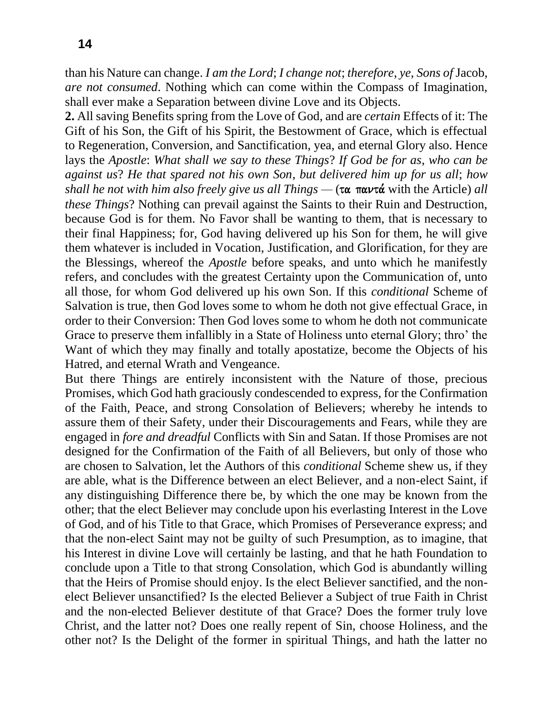than his Nature can change. *I am the Lord*; *I change not*; *therefore*, *ye*, *Sons of* Jacob, *are not consumed*. Nothing which can come within the Compass of Imagination, shall ever make a Separation between divine Love and its Objects.

**2.** All saving Benefits spring from the Love of God, and are *certain* Effects of it: The Gift of his Son, the Gift of his Spirit, the Bestowment of Grace, which is effectual to Regeneration, Conversion, and Sanctification, yea, and eternal Glory also. Hence lays the *Apostle*: *What shall we say to these Things*? *If God be for as*, *who can be against us*? *He that spared not his own Son*, *but delivered him up for us all*; *how shall he not with him also freely give us all Things —*  $(\tau \alpha \pi \alpha \nu \tau \alpha)$  with the Article) *all these Things*? Nothing can prevail against the Saints to their Ruin and Destruction, because God is for them. No Favor shall be wanting to them, that is necessary to their final Happiness; for, God having delivered up his Son for them, he will give them whatever is included in Vocation, Justification, and Glorification, for they are the Blessings, whereof the *Apostle* before speaks, and unto which he manifestly refers, and concludes with the greatest Certainty upon the Communication of, unto all those, for whom God delivered up his own Son. If this *conditional* Scheme of Salvation is true, then God loves some to whom he doth not give effectual Grace, in order to their Conversion: Then God loves some to whom he doth not communicate Grace to preserve them infallibly in a State of Holiness unto eternal Glory; thro' the Want of which they may finally and totally apostatize, become the Objects of his Hatred, and eternal Wrath and Vengeance.

But there Things are entirely inconsistent with the Nature of those, precious Promises, which God hath graciously condescended to express, for the Confirmation of the Faith, Peace, and strong Consolation of Believers; whereby he intends to assure them of their Safety, under their Discouragements and Fears, while they are engaged in *fore and dreadful* Conflicts with Sin and Satan. If those Promises are not designed for the Confirmation of the Faith of all Believers, but only of those who are chosen to Salvation, let the Authors of this *conditional* Scheme shew us, if they are able, what is the Difference between an elect Believer, and a non-elect Saint, if any distinguishing Difference there be, by which the one may be known from the other; that the elect Believer may conclude upon his everlasting Interest in the Love of God, and of his Title to that Grace, which Promises of Perseverance express; and that the non-elect Saint may not be guilty of such Presumption, as to imagine, that his Interest in divine Love will certainly be lasting, and that he hath Foundation to conclude upon a Title to that strong Consolation, which God is abundantly willing that the Heirs of Promise should enjoy. Is the elect Believer sanctified, and the nonelect Believer unsanctified? Is the elected Believer a Subject of true Faith in Christ and the non-elected Believer destitute of that Grace? Does the former truly love Christ, and the latter not? Does one really repent of Sin, choose Holiness, and the other not? Is the Delight of the former in spiritual Things, and hath the latter no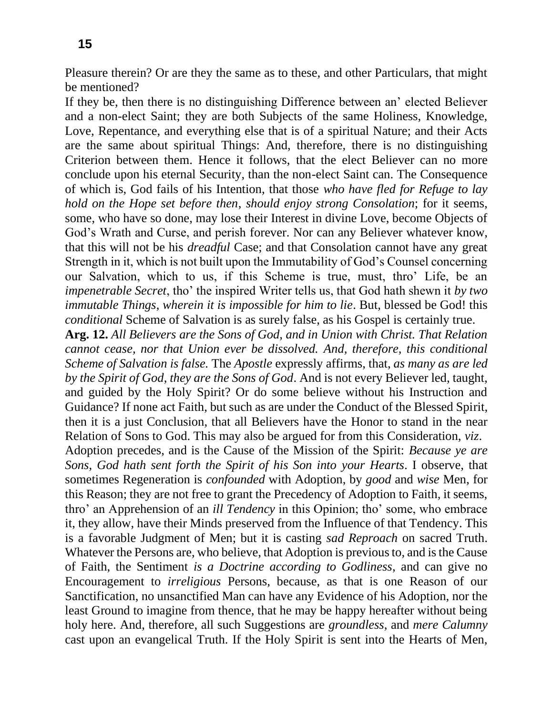Pleasure therein? Or are they the same as to these, and other Particulars, that might be mentioned?

If they be, then there is no distinguishing Difference between an' elected Believer and a non-elect Saint; they are both Subjects of the same Holiness, Knowledge, Love, Repentance, and everything else that is of a spiritual Nature; and their Acts are the same about spiritual Things: And, therefore, there is no distinguishing Criterion between them. Hence it follows, that the elect Believer can no more conclude upon his eternal Security, than the non-elect Saint can. The Consequence of which is, God fails of his Intention, that those *who have fled for Refuge to lay hold on the Hope set before then*, *should enjoy strong Consolation*; for it seems, some, who have so done, may lose their Interest in divine Love, become Objects of God's Wrath and Curse, and perish forever. Nor can any Believer whatever know, that this will not be his *dreadful* Case; and that Consolation cannot have any great Strength in it, which is not built upon the Immutability of God's Counsel concerning our Salvation, which to us, if this Scheme is true, must, thro' Life, be an *impenetrable Secret*, tho' the inspired Writer tells us, that God hath shewn it *by two immutable Things*, *wherein it is impossible for him to lie*. But, blessed be God! this *conditional* Scheme of Salvation is as surely false, as his Gospel is certainly true.

**Arg. 12.** *All Believers are the Sons of God, and in Union with Christ. That Relation cannot cease, nor that Union ever be dissolved. And, therefore, this conditional Scheme of Salvation is false.* The *Apostle* expressly affirms, that, *as many as are led by the Spirit of God*, *they are the Sons of God*. And is not every Believer led, taught, and guided by the Holy Spirit? Or do some believe without his Instruction and Guidance? If none act Faith, but such as are under the Conduct of the Blessed Spirit, then it is a just Conclusion, that all Believers have the Honor to stand in the near Relation of Sons to God. This may also be argued for from this Consideration, *viz*.

Adoption precedes, and is the Cause of the Mission of the Spirit: *Because ye are Sons*, *God hath sent forth the Spirit of his Son into your Hearts*. I observe, that sometimes Regeneration is *confounded* with Adoption, by *good* and *wise* Men, for this Reason; they are not free to grant the Precedency of Adoption to Faith, it seems, thro' an Apprehension of an *ill Tendency* in this Opinion; tho' some, who embrace it, they allow, have their Minds preserved from the Influence of that Tendency. This is a favorable Judgment of Men; but it is casting *sad Reproach* on sacred Truth. Whatever the Persons are, who believe, that Adoption is previous to, and is the Cause of Faith, the Sentiment *is a Doctrine according to Godliness*, and can give no Encouragement to *irreligious* Persons, because, as that is one Reason of our Sanctification, no unsanctified Man can have any Evidence of his Adoption, nor the least Ground to imagine from thence, that he may be happy hereafter without being holy here. And, therefore, all such Suggestions are *groundless*, and *mere Calumny*  cast upon an evangelical Truth. If the Holy Spirit is sent into the Hearts of Men,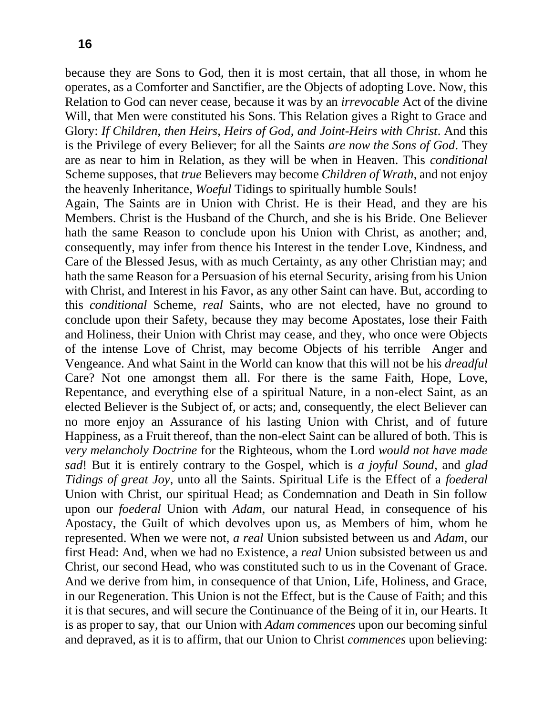because they are Sons to God, then it is most certain, that all those, in whom he operates, as a Comforter and Sanctifier, are the Objects of adopting Love. Now, this Relation to God can never cease, because it was by an *irrevocable* Act of the divine Will, that Men were constituted his Sons. This Relation gives a Right to Grace and Glory: *If Children*, *then Heirs*, *Heirs of God*, *and Joint-Heirs with Christ*. And this is the Privilege of every Believer; for all the Saints *are now the Sons of God*. They are as near to him in Relation, as they will be when in Heaven. This *conditional*  Scheme supposes, that *true* Believers may become *Children of Wrath*, and not enjoy the heavenly Inheritance, *Woeful* Tidings to spiritually humble Souls!

Again, The Saints are in Union with Christ. He is their Head, and they are his Members. Christ is the Husband of the Church, and she is his Bride. One Believer hath the same Reason to conclude upon his Union with Christ, as another; and, consequently, may infer from thence his Interest in the tender Love, Kindness, and Care of the Blessed Jesus, with as much Certainty, as any other Christian may; and hath the same Reason for a Persuasion of his eternal Security, arising from his Union with Christ, and Interest in his Favor, as any other Saint can have. But, according to this *conditional* Scheme, *real* Saints, who are not elected, have no ground to conclude upon their Safety, because they may become Apostates, lose their Faith and Holiness, their Union with Christ may cease, and they, who once were Objects of the intense Love of Christ, may become Objects of his terrible Anger and Vengeance. And what Saint in the World can know that this will not be his *dreadful*  Care? Not one amongst them all. For there is the same Faith, Hope, Love, Repentance, and everything else of a spiritual Nature, in a non-elect Saint, as an elected Believer is the Subject of, or acts; and, consequently, the elect Believer can no more enjoy an Assurance of his lasting Union with Christ, and of future Happiness, as a Fruit thereof, than the non-elect Saint can be allured of both. This is *very melancholy Doctrine* for the Righteous, whom the Lord *would not have made sad*! But it is entirely contrary to the Gospel, which is *a joyful Sound*, and *glad Tidings of great Joy*, unto all the Saints. Spiritual Life is the Effect of a *foederal*  Union with Christ, our spiritual Head; as Condemnation and Death in Sin follow upon our *foederal* Union with *Adam*, our natural Head, in consequence of his Apostacy, the Guilt of which devolves upon us, as Members of him, whom he represented. When we were not, *a real* Union subsisted between us and *Adam*, our first Head: And, when we had no Existence, a *real* Union subsisted between us and Christ, our second Head, who was constituted such to us in the Covenant of Grace. And we derive from him, in consequence of that Union, Life, Holiness, and Grace, in our Regeneration. This Union is not the Effect, but is the Cause of Faith; and this it is that secures, and will secure the Continuance of the Being of it in, our Hearts. It is as proper to say, that our Union with *Adam commences* upon our becoming sinful and depraved, as it is to affirm, that our Union to Christ *commences* upon believing: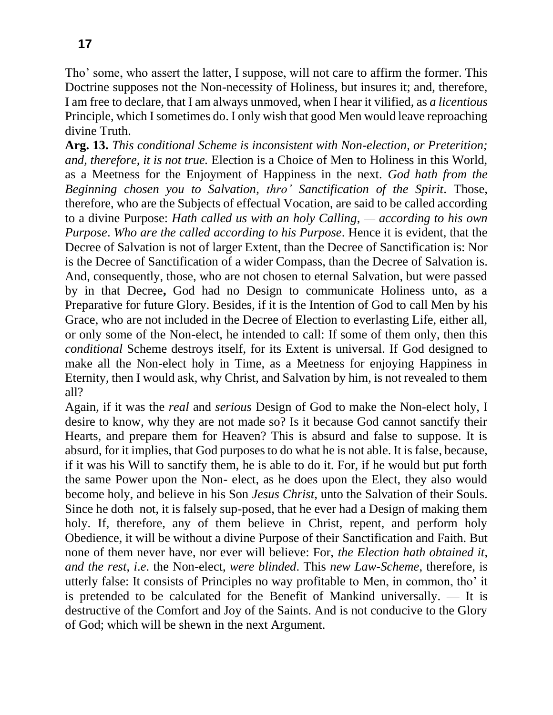Tho' some, who assert the latter, I suppose, will not care to affirm the former. This Doctrine supposes not the Non-necessity of Holiness, but insures it; and, therefore, I am free to declare, that I am always unmoved, when I hear it vilified, as *a licentious*  Principle, which I sometimes do. I only wish that good Men would leave reproaching divine Truth.

**Arg. 13.** *This conditional Scheme is inconsistent with Non-election, or Preterition; and, therefore, it is not true.* Election is a Choice of Men to Holiness in this World, as a Meetness for the Enjoyment of Happiness in the next. *God hath from the Beginning chosen you to Salvation*, *thro' Sanctification of the Spirit*. Those, therefore, who are the Subjects of effectual Vocation, are said to be called according to a divine Purpose: *Hath called us with an holy Calling*, *— according to his own Purpose*. *Who are the called according to his Purpose*. Hence it is evident, that the Decree of Salvation is not of larger Extent, than the Decree of Sanctification is: Nor is the Decree of Sanctification of a wider Compass, than the Decree of Salvation is. And, consequently, those, who are not chosen to eternal Salvation, but were passed by in that Decree**,** God had no Design to communicate Holiness unto, as a Preparative for future Glory. Besides, if it is the Intention of God to call Men by his Grace, who are not included in the Decree of Election to everlasting Life, either all, or only some of the Non-elect, he intended to call: If some of them only, then this *conditional* Scheme destroys itself, for its Extent is universal. If God designed to make all the Non-elect holy in Time, as a Meetness for enjoying Happiness in Eternity, then I would ask, why Christ, and Salvation by him, is not revealed to them all?

Again, if it was the *real* and *serious* Design of God to make the Non-elect holy, I desire to know, why they are not made so? Is it because God cannot sanctify their Hearts, and prepare them for Heaven? This is absurd and false to suppose. It is absurd, for it implies, that God purposes to do what he is not able. It is false, because, if it was his Will to sanctify them, he is able to do it. For, if he would but put forth the same Power upon the Non- elect, as he does upon the Elect, they also would become holy, and believe in his Son *Jesus Christ*, unto the Salvation of their Souls. Since he doth not, it is falsely sup-posed, that he ever had a Design of making them holy. If, therefore, any of them believe in Christ, repent, and perform holy Obedience, it will be without a divine Purpose of their Sanctification and Faith. But none of them never have, nor ever will believe: For, *the Election hath obtained it*, *and the rest*, *i*.*e*. the Non-elect, *were blinded*. This *new Law-Scheme*, therefore, is utterly false: It consists of Principles no way profitable to Men, in common, tho' it is pretended to be calculated for the Benefit of Mankind universally. — It is destructive of the Comfort and Joy of the Saints. And is not conducive to the Glory of God; which will be shewn in the next Argument.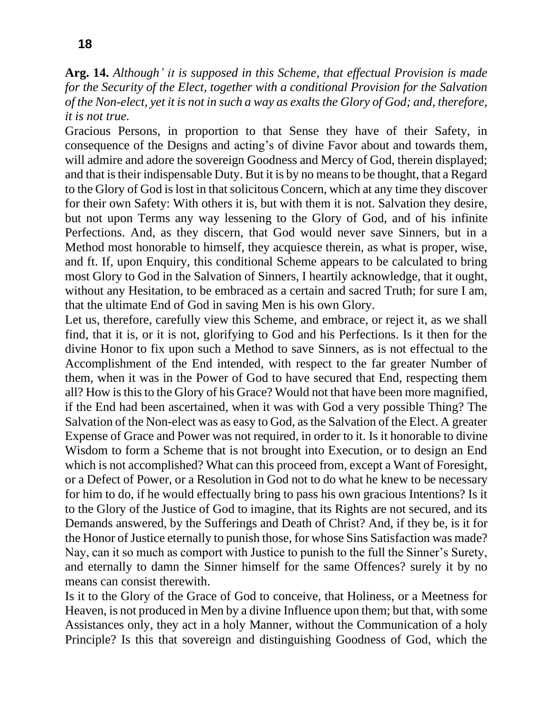**Arg. 14.** *Although' it is supposed in this Scheme, that effectual Provision is made for the Security of the Elect, together with a conditional Provision for the Salvation of the Non-elect, yet it is not in such a way as exalts the Glory of God; and, therefore, it is not true.*

Gracious Persons, in proportion to that Sense they have of their Safety, in consequence of the Designs and acting's of divine Favor about and towards them, will admire and adore the sovereign Goodness and Mercy of God, therein displayed; and that is their indispensable Duty. But it is by no means to be thought, that a Regard to the Glory of God is lost in that solicitous Concern, which at any time they discover for their own Safety: With others it is, but with them it is not. Salvation they desire, but not upon Terms any way lessening to the Glory of God, and of his infinite Perfections. And, as they discern, that God would never save Sinners, but in a Method most honorable to himself, they acquiesce therein, as what is proper, wise, and ft. If, upon Enquiry, this conditional Scheme appears to be calculated to bring most Glory to God in the Salvation of Sinners, I heartily acknowledge, that it ought, without any Hesitation, to be embraced as a certain and sacred Truth; for sure I am, that the ultimate End of God in saving Men is his own Glory.

Let us, therefore, carefully view this Scheme, and embrace, or reject it, as we shall find, that it is, or it is not, glorifying to God and his Perfections. Is it then for the divine Honor to fix upon such a Method to save Sinners, as is not effectual to the Accomplishment of the End intended, with respect to the far greater Number of them, when it was in the Power of God to have secured that End, respecting them all? How is this to the Glory of his Grace? Would not that have been more magnified, if the End had been ascertained, when it was with God a very possible Thing? The Salvation of the Non-elect was as easy to God, as the Salvation of the Elect. A greater Expense of Grace and Power was not required, in order to it. Is it honorable to divine Wisdom to form a Scheme that is not brought into Execution, or to design an End which is not accomplished? What can this proceed from, except a Want of Foresight, or a Defect of Power, or a Resolution in God not to do what he knew to be necessary for him to do, if he would effectually bring to pass his own gracious Intentions? Is it to the Glory of the Justice of God to imagine, that its Rights are not secured, and its Demands answered, by the Sufferings and Death of Christ? And, if they be, is it for the Honor of Justice eternally to punish those, for whose Sins Satisfaction was made? Nay, can it so much as comport with Justice to punish to the full the Sinner's Surety, and eternally to damn the Sinner himself for the same Offences? surely it by no means can consist therewith.

Is it to the Glory of the Grace of God to conceive, that Holiness, or a Meetness for Heaven, is not produced in Men by a divine Influence upon them; but that, with some Assistances only, they act in a holy Manner, without the Communication of a holy Principle? Is this that sovereign and distinguishing Goodness of God, which the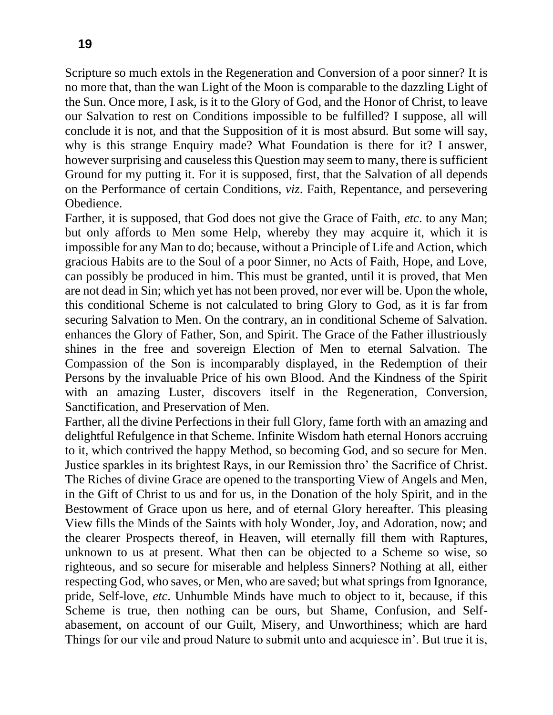Scripture so much extols in the Regeneration and Conversion of a poor sinner? It is no more that, than the wan Light of the Moon is comparable to the dazzling Light of the Sun. Once more, I ask, is it to the Glory of God, and the Honor of Christ, to leave our Salvation to rest on Conditions impossible to be fulfilled? I suppose, all will conclude it is not, and that the Supposition of it is most absurd. But some will say, why is this strange Enquiry made? What Foundation is there for it? I answer, however surprising and causeless this Question may seem to many, there is sufficient Ground for my putting it. For it is supposed, first, that the Salvation of all depends on the Performance of certain Conditions, *viz*. Faith, Repentance, and persevering Obedience.

Farther, it is supposed, that God does not give the Grace of Faith, *etc*. to any Man; but only affords to Men some Help, whereby they may acquire it, which it is impossible for any Man to do; because, without a Principle of Life and Action, which gracious Habits are to the Soul of a poor Sinner, no Acts of Faith, Hope, and Love, can possibly be produced in him. This must be granted, until it is proved, that Men are not dead in Sin; which yet has not been proved, nor ever will be. Upon the whole, this conditional Scheme is not calculated to bring Glory to God, as it is far from securing Salvation to Men. On the contrary, an in conditional Scheme of Salvation. enhances the Glory of Father, Son, and Spirit. The Grace of the Father illustriously shines in the free and sovereign Election of Men to eternal Salvation. The Compassion of the Son is incomparably displayed, in the Redemption of their Persons by the invaluable Price of his own Blood. And the Kindness of the Spirit with an amazing Luster, discovers itself in the Regeneration, Conversion, Sanctification, and Preservation of Men.

Farther, all the divine Perfections in their full Glory, fame forth with an amazing and delightful Refulgence in that Scheme. Infinite Wisdom hath eternal Honors accruing to it, which contrived the happy Method, so becoming God, and so secure for Men. Justice sparkles in its brightest Rays, in our Remission thro' the Sacrifice of Christ. The Riches of divine Grace are opened to the transporting View of Angels and Men, in the Gift of Christ to us and for us, in the Donation of the holy Spirit, and in the Bestowment of Grace upon us here, and of eternal Glory hereafter. This pleasing View fills the Minds of the Saints with holy Wonder, Joy, and Adoration, now; and the clearer Prospects thereof, in Heaven, will eternally fill them with Raptures, unknown to us at present. What then can be objected to a Scheme so wise, so righteous, and so secure for miserable and helpless Sinners? Nothing at all, either respecting God, who saves, or Men, who are saved; but what springs from Ignorance, pride, Self-love, *etc*. Unhumble Minds have much to object to it, because, if this Scheme is true, then nothing can be ours, but Shame, Confusion, and Selfabasement, on account of our Guilt, Misery, and Unworthiness; which are hard Things for our vile and proud Nature to submit unto and acquiesce in'. But true it is,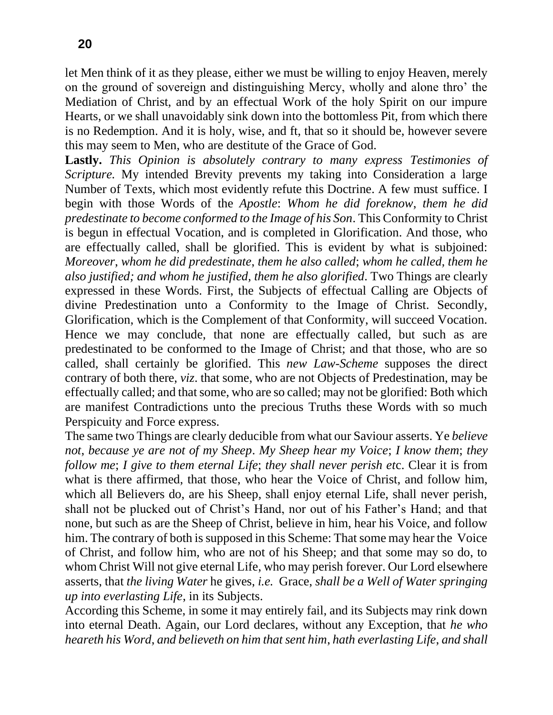let Men think of it as they please, either we must be willing to enjoy Heaven, merely on the ground of sovereign and distinguishing Mercy, wholly and alone thro' the Mediation of Christ, and by an effectual Work of the holy Spirit on our impure Hearts, or we shall unavoidably sink down into the bottomless Pit, from which there is no Redemption. And it is holy, wise, and ft, that so it should be, however severe this may seem to Men, who are destitute of the Grace of God.

**Lastly.** *This Opinion is absolutely contrary to many express Testimonies of Scripture.* My intended Brevity prevents my taking into Consideration a large Number of Texts, which most evidently refute this Doctrine. A few must suffice. I begin with those Words of the *Apostle*: *Whom he did foreknow*, *them he did predestinate to become conformed to the Image of his Son*. This Conformity to Christ is begun in effectual Vocation, and is completed in Glorification. And those, who are effectually called, shall be glorified. This is evident by what is subjoined: *Moreover*, *whom he did predestinate*, *them he also called*; *whom he called, them he also justified; and whom he justified, them he also glorified*. Two Things are clearly expressed in these Words. First, the Subjects of effectual Calling are Objects of divine Predestination unto a Conformity to the Image of Christ. Secondly, Glorification, which is the Complement of that Conformity, will succeed Vocation. Hence we may conclude, that none are effectually called, but such as are predestinated to be conformed to the Image of Christ; and that those, who are so called, shall certainly be glorified. This *new Law-Scheme* supposes the direct contrary of both there, *viz*. that some, who are not Objects of Predestination, may be effectually called; and that some, who are so called; may not be glorified: Both which are manifest Contradictions unto the precious Truths these Words with so much Perspicuity and Force express.

The same two Things are clearly deducible from what our Saviour asserts. Ye *believe not*, *because ye are not of my Sheep*. *My Sheep hear my Voice*; *I know them*; *they follow me*; *I give to them eternal Life*; *they shall never perish et*c. Clear it is from what is there affirmed, that those, who hear the Voice of Christ, and follow him, which all Believers do, are his Sheep, shall enjoy eternal Life, shall never perish, shall not be plucked out of Christ's Hand, nor out of his Father's Hand; and that none, but such as are the Sheep of Christ, believe in him, hear his Voice, and follow him. The contrary of both is supposed in this Scheme: That some may hear the Voice of Christ, and follow him, who are not of his Sheep; and that some may so do, to whom Christ Will not give eternal Life, who may perish forever. Our Lord elsewhere asserts, that *the living Water* he gives, *i.e.* Grace, *shall be a Well of Water springing up into everlasting Life*, in its Subjects.

According this Scheme, in some it may entirely fail, and its Subjects may rink down into eternal Death. Again, our Lord declares, without any Exception, that *he who heareth his Word*, *and believeth on him that sent him*, *hath everlasting Life*, *and shall*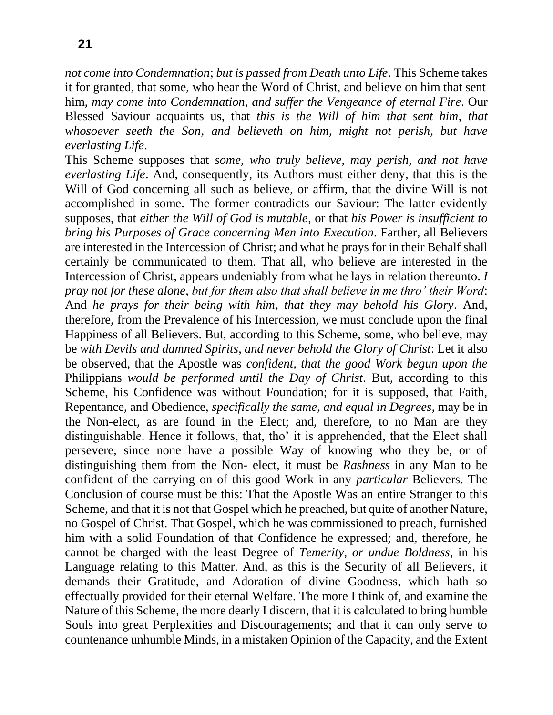**21**

*not come into Condemnation*; *but is passed from Death unto Life*. This Scheme takes it for granted, that some, who hear the Word of Christ, and believe on him that sent him, *may come into Condemnation*, *and suffer the Vengeance of eternal Fire*. Our Blessed Saviour acquaints us, that *this is the Will of him that sent him*, *that whosoever seeth the Son*, *and believeth on him*, *might not perish*, *but have everlasting Life*.

This Scheme supposes that *some*, *who truly believe*, *may perish*, *and not have everlasting Life*. And, consequently, its Authors must either deny, that this is the Will of God concerning all such as believe, or affirm, that the divine Will is not accomplished in some. The former contradicts our Saviour: The latter evidently supposes, that *either the Will of God is mutable*, or that *his Power is insufficient to bring his Purposes of Grace concerning Men into Execution*. Farther, all Believers are interested in the Intercession of Christ; and what he prays for in their Behalf shall certainly be communicated to them. That all, who believe are interested in the Intercession of Christ, appears undeniably from what he lays in relation thereunto. *I pray not for these alone*, *but for them also that shall believe in me thro' their Word*: And *he prays for their being with him*, *that they may behold his Glory*. And, therefore, from the Prevalence of his Intercession, we must conclude upon the final Happiness of all Believers. But, according to this Scheme, some, who believe, may be *with Devils and damned Spirits*, *and never behold the Glory of Christ*: Let it also be observed, that the Apostle was *confident*, *that the good Work begun upon the*  Philippians *would be performed until the Day of Christ*. But, according to this Scheme, his Confidence was without Foundation; for it is supposed, that Faith, Repentance, and Obedience, *specifically the same*, *and equal in Degrees*, may be in the Non-elect, as are found in the Elect; and, therefore, to no Man are they distinguishable. Hence it follows, that, tho' it is apprehended, that the Elect shall persevere, since none have a possible Way of knowing who they be, or of distinguishing them from the Non- elect, it must be *Rashness* in any Man to be confident of the carrying on of this good Work in any *particular* Believers. The Conclusion of course must be this: That the Apostle Was an entire Stranger to this Scheme, and that it is not that Gospel which he preached, but quite of another Nature, no Gospel of Christ. That Gospel, which he was commissioned to preach, furnished him with a solid Foundation of that Confidence he expressed; and, therefore, he cannot be charged with the least Degree of *Temerity*, *or undue Boldness*, in his Language relating to this Matter. And, as this is the Security of all Believers, it demands their Gratitude, and Adoration of divine Goodness, which hath so effectually provided for their eternal Welfare. The more I think of, and examine the Nature of this Scheme, the more dearly I discern, that it is calculated to bring humble Souls into great Perplexities and Discouragements; and that it can only serve to countenance unhumble Minds, in a mistaken Opinion of the Capacity, and the Extent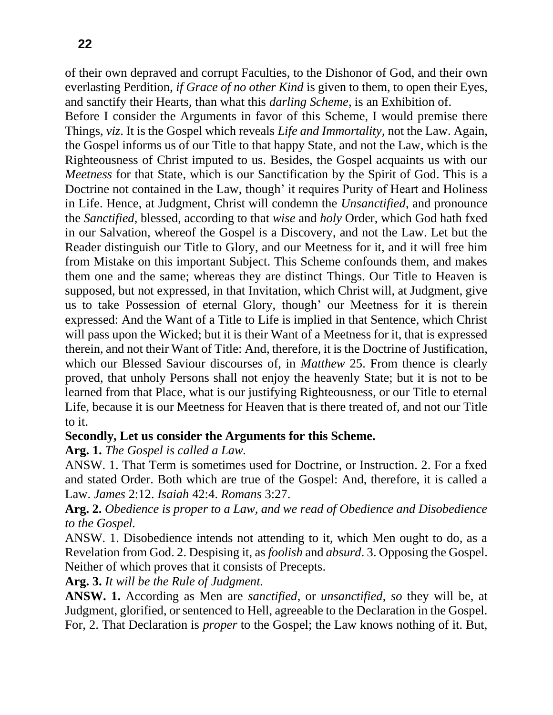of their own depraved and corrupt Faculties, to the Dishonor of God, and their own everlasting Perdition, *if Grace of no other Kind* is given to them, to open their Eyes, and sanctify their Hearts, than what this *darling Scheme*, is an Exhibition of.

Before I consider the Arguments in favor of this Scheme, I would premise there Things, *viz*. It is the Gospel which reveals *Life and Immortality*, not the Law. Again, the Gospel informs us of our Title to that happy State, and not the Law, which is the Righteousness of Christ imputed to us. Besides, the Gospel acquaints us with our *Meetness* for that State, which is our Sanctification by the Spirit of God. This is a Doctrine not contained in the Law, though' it requires Purity of Heart and Holiness in Life. Hence, at Judgment, Christ will condemn the *Unsanctified*, and pronounce the *Sanctified*, blessed, according to that *wise* and *holy* Order, which God hath fxed in our Salvation, whereof the Gospel is a Discovery, and not the Law. Let but the Reader distinguish our Title to Glory, and our Meetness for it, and it will free him from Mistake on this important Subject. This Scheme confounds them, and makes them one and the same; whereas they are distinct Things. Our Title to Heaven is supposed, but not expressed, in that Invitation, which Christ will, at Judgment, give us to take Possession of eternal Glory, though' our Meetness for it is therein expressed: And the Want of a Title to Life is implied in that Sentence, which Christ will pass upon the Wicked; but it is their Want of a Meetness for it, that is expressed therein, and not their Want of Title: And, therefore, it is the Doctrine of Justification, which our Blessed Saviour discourses of, in *Matthew* 25. From thence is clearly proved, that unholy Persons shall not enjoy the heavenly State; but it is not to be learned from that Place, what is our justifying Righteousness, or our Title to eternal Life, because it is our Meetness for Heaven that is there treated of, and not our Title to it.

### **Secondly, Let us consider the Arguments for this Scheme.**

### **Arg. 1.** *The Gospel is called a Law.*

ANSW. 1. That Term is sometimes used for Doctrine, or Instruction. 2. For a fxed and stated Order. Both which are true of the Gospel: And, therefore, it is called a Law. *James* 2:12. *Isaiah* 42:4. *Romans* 3:27.

**Arg. 2.** *Obedience is proper to a Law, and we read of Obedience and Disobedience to the Gospel.*

ANSW. 1. Disobedience intends not attending to it, which Men ought to do, as a Revelation from God. 2. Despising it, as *foolish* and *absurd*. 3. Opposing the Gospel. Neither of which proves that it consists of Precepts.

**Arg. 3.** *It will be the Rule of Judgment.*

**ANSW. 1.** According as Men are *sanctified*, or *unsanctified*, *so* they will be, at Judgment, glorified, or sentenced to Hell, agreeable to the Declaration in the Gospel. For, 2. That Declaration is *proper* to the Gospel; the Law knows nothing of it. But,